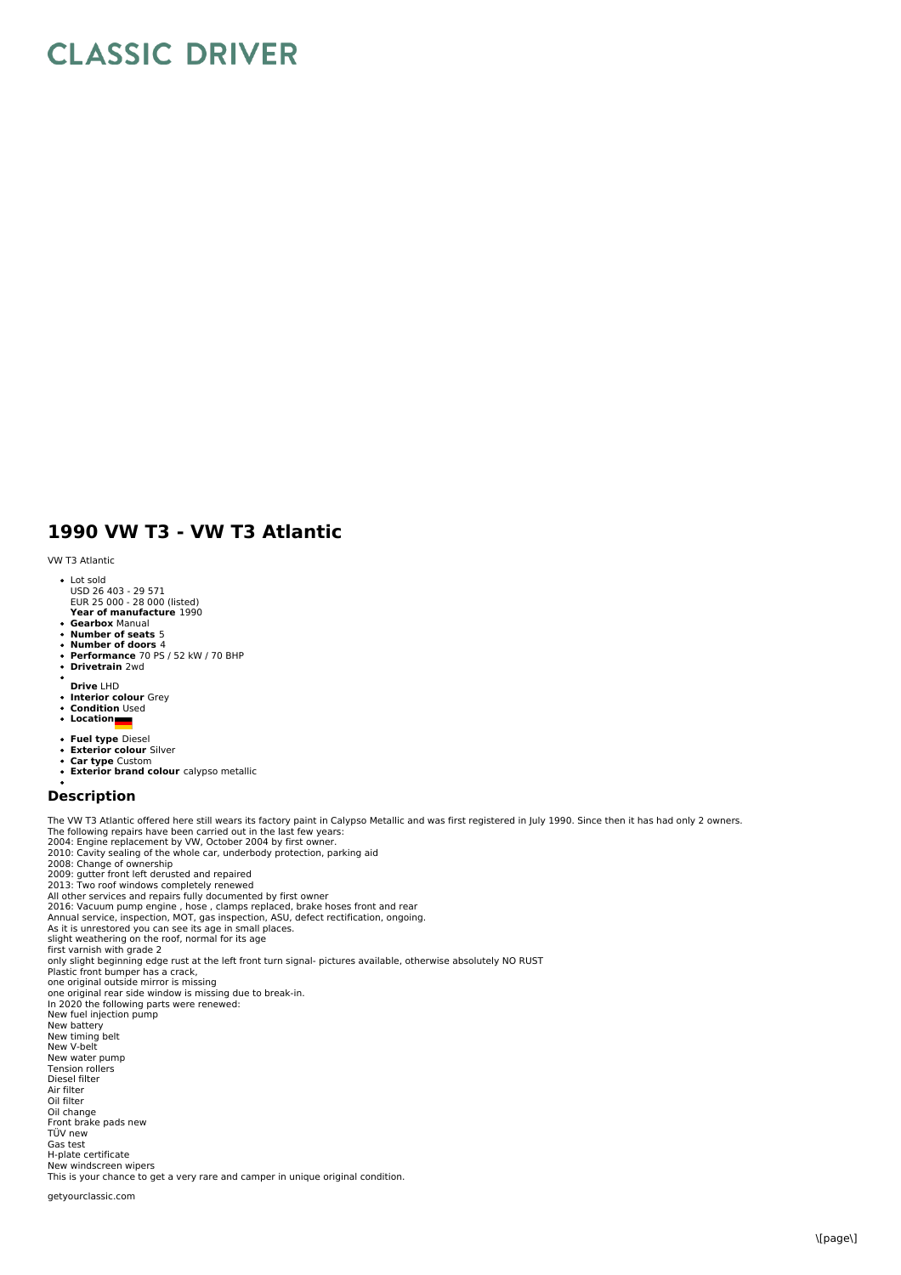# **CLASSIC DRIVER**

## **1990 VW T3 - VW T3 Atlantic**

#### VW T3 Atlantic

- 
- Lot sold USD 26 403 29 571 EUR 25 000 28 000 (listed)
- **Year of manufacture** 1990
- **Gearbox** Manual
- **Number of seats** 5
- **Number of doors** 4 **Performance** 70 PS / 52 kW / 70 BHP
- $\ddot{\phantom{a}}$ **Drivetrain** 2wd
- **Drive** LHD
- **Interior colour** Grey
- **Condition** Used **Location**
- 
- **Fuel type** Diesel
- $\bullet$
- **Exterior colour** Silver **Car type** Custom
- **Exterior brand colour** calypso metallic

### **Description**

The VW T3 Atlantic offered here still wears its factory paint in Calypso Metallic and was first registered in July 1990. Since then it has had only 2 owners.<br>The following repairs have been carried out in the last few year 2010: Cavity sealing of the whole car, underbody protection, parking aid<br>2008: Change of ownership<br>2009: gutter front left derusted and repaired<br>2013: Two roof windows completely renewed<br>All other services and repairs full As it is unrestored you can see its age in small places. slight weathering on the roof, normal for its age first varnish with grade 2 only slight beginning edge rust at the left front turn signal- pictures available, otherwise absolutely NO RUST Plastic front bumper has a crack,<br>one original outside mirror is missing one original rear side window is missing due to break-in. In 2020 the following parts were renewed: New fuel injection pump<br>New battery New timing belt<br>New V-belt New water pump Tension rollers Diesel filter Air filter Oil filter Oil change Front brake pads new TÜV new Gas test H-plate certificate New windscreen wipers This is your chance to get a very rare and camper in unique original condition.

#### getyourclassic.com